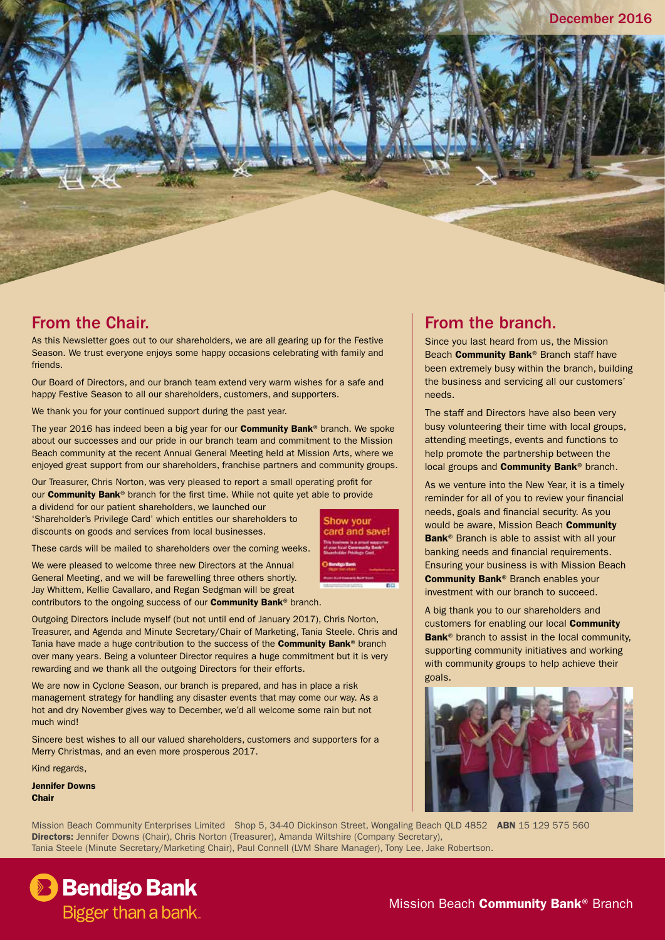## From the Chair.

As this Newsletter goes out to our shareholders, we are all gearing up for the Festive Season. We trust everyone enjoys some happy occasions celebrating with family and friends.

Our Board of Directors, and our branch team extend very warm wishes for a safe and happy Festive Season to all our shareholders, customers, and supporters.

We thank you for your continued support during the past year.

The year 2016 has indeed been a big year for our **Community Bank®** branch. We spoke about our successes and our pride in our branch team and commitment to the Mission Beach community at the recent Annual General Meeting held at Mission Arts, where we enjoyed great support from our shareholders, franchise partners and community groups.

Our Treasurer, Chris Norton, was very pleased to report a small operating profit for our **Community Bank®** branch for the first time. While not quite yet able to provide a dividend for our patient shareholders, we launched our

'Shareholder's Privilege Card' which entitles our shareholders to discounts on goods and services from local businesses.

These cards will be mailed to shareholders over the coming weeks.

We were pleased to welcome three new Directors at the Annual General Meeting, and we will be farewelling three others shortly. Jay Whittem, Kellie Cavallaro, and Regan Sedgman will be great contributors to the ongoing success of our **Community Bank®** branch.

Outgoing Directors include myself (but not until end of January 2017), Chris Norton, Treasurer, and Agenda and Minute Secretary/Chair of Marketing, Tania Steele. Chris and Tania have made a huge contribution to the success of the **Community Bank®** branch over many years. Being a volunteer Director requires a huge commitment but it is very rewarding and we thank all the outgoing Directors for their efforts.

We are now in Cyclone Season, our branch is prepared, and has in place a risk management strategy for handling any disaster events that may come our way. As a hot and dry November gives way to December, we'd all welcome some rain but not much wind!

Sincere best wishes to all our valued shareholders, customers and supporters for a Merry Christmas, and an even more prosperous 2017.

Kind regards,

Jennifer Downs Chair

Show your card and save!

## From the branch.

Since you last heard from us, the Mission Beach **Community Bank®** Branch staff have been extremely busy within the branch, building the business and servicing all our customers' needs.

The staff and Directors have also been very busy volunteering their time with local groups, attending meetings, events and functions to help promote the partnership between the local groups and **Community Bank®** branch.

As we venture into the New Year, it is a timely reminder for all of you to review your financial needs, goals and financial security. As you would be aware, Mission Beach **Community** Bank<sup>®</sup> Branch is able to assist with all your banking needs and financial requirements. Ensuring your business is with Mission Beach Community Bank® Branch enables your investment with our branch to succeed.

A big thank you to our shareholders and customers for enabling our local **Community** Bank<sup>®</sup> branch to assist in the local community, supporting community initiatives and working with community groups to help achieve their goals.



Mission Beach Community Enterprises Limited Shop 5, 34-40 Dickinson Street, Wongaling Beach OLD 4852 ABN 15 129 575 560 Directors: Jennifer Downs (Chair), Chris Norton (Treasurer), Amanda Wiltshire (Company Secretary), Tania Steele (Minute Secretary/Marketing Chair), Paul Connell (LVM Share Manager), Tony Lee, Jake Robertson.